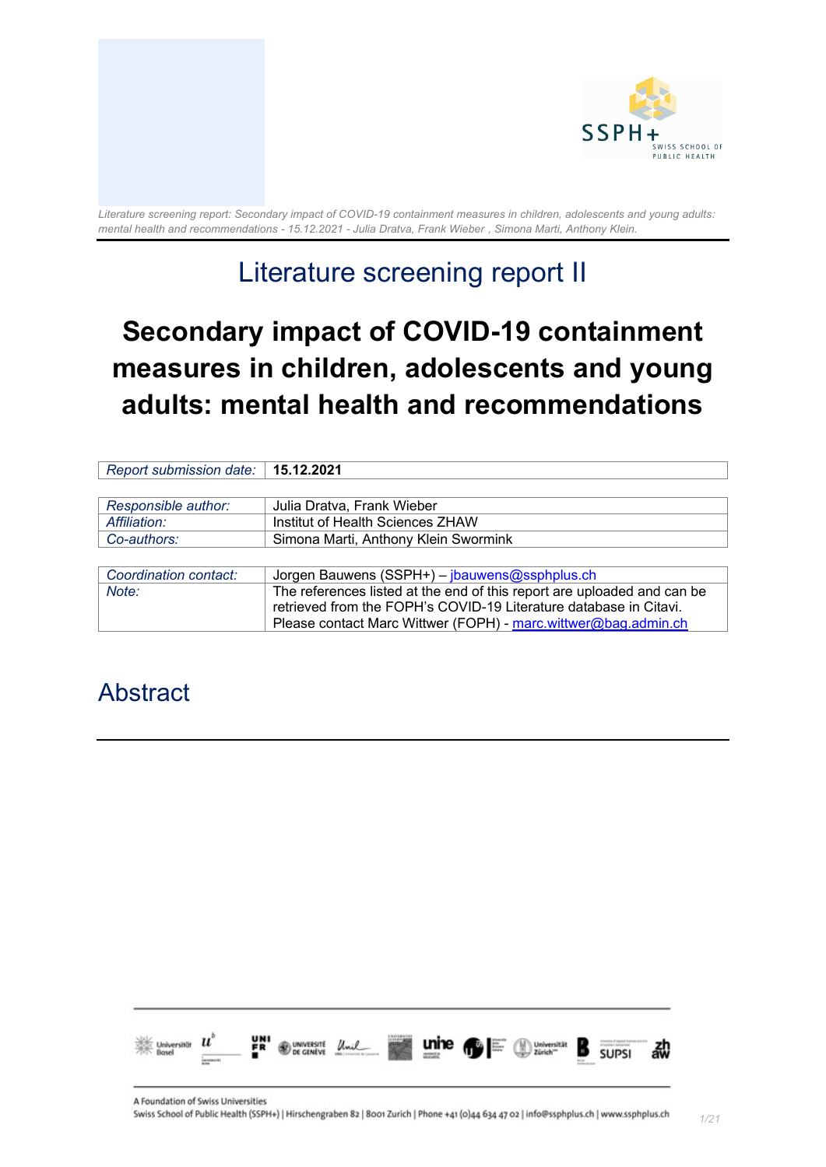

## Literature screening report II

# **Secondary impact of COVID-19 containment measures in children, adolescents and young adults: mental health and recommendations**

| Report submission date: | 15.12.2021                                                                                                                                   |
|-------------------------|----------------------------------------------------------------------------------------------------------------------------------------------|
|                         |                                                                                                                                              |
| Responsible author:     | Julia Dratva, Frank Wieber                                                                                                                   |
| Affiliation:            | Institut of Health Sciences ZHAW                                                                                                             |
| Co-authors:             | Simona Marti, Anthony Klein Swormink                                                                                                         |
|                         |                                                                                                                                              |
| Coordination contact:   | Jorgen Bauwens (SSPH+) - jbauwens@ssphplus.ch                                                                                                |
| Note:                   | The references listed at the end of this report are uploaded and can be<br>retrieved from the FOPH's COVID-19 Literature database in Citavi. |
|                         | Please contact Marc Wittwer (FOPH) - marc.wittwer@bag.admin.ch                                                                               |

## <span id="page-0-0"></span>Abstract

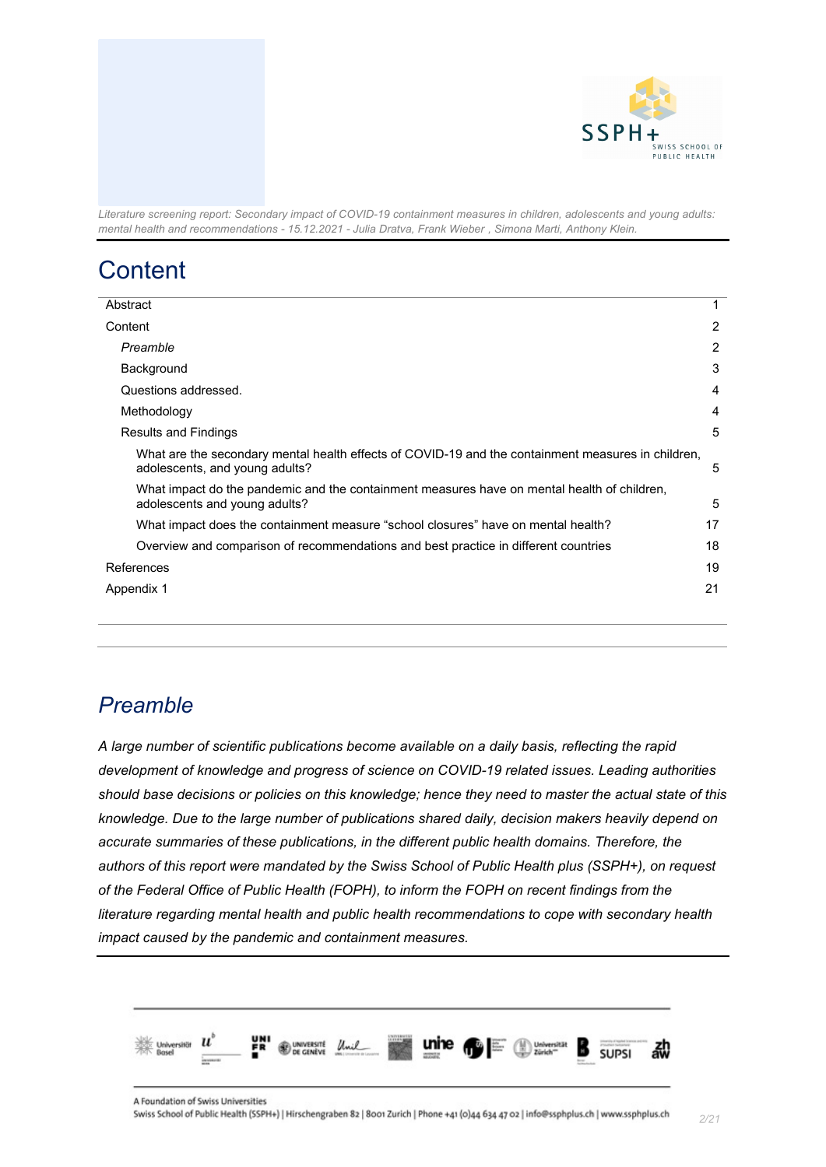

## <span id="page-1-0"></span>**Content**

| Abstract                                                                                                                             | 1 |
|--------------------------------------------------------------------------------------------------------------------------------------|---|
| Content                                                                                                                              | 2 |
| Preamble                                                                                                                             | 2 |
| Background                                                                                                                           | 3 |
| Questions addressed.                                                                                                                 | 4 |
| Methodology                                                                                                                          | 4 |
| Results and Findings                                                                                                                 | 5 |
| What are the secondary mental health effects of COVID-19 and the containment measures in children,<br>adolescents, and young adults? | 5 |
| What impact do the pandemic and the containment measures have on mental health of children,<br>adolescents and young adults?         | 5 |
| What impact does the containment measure "school closures" have on mental health?<br>17                                              |   |
| 18<br>Overview and comparison of recommendations and best practice in different countries                                            |   |
| 19<br>References                                                                                                                     |   |
| Appendix 1                                                                                                                           |   |
|                                                                                                                                      |   |

### <span id="page-1-1"></span>*Preamble*

*A large number of scientific publications become available on a daily basis, reflecting the rapid development of knowledge and progress of science on COVID-19 related issues. Leading authorities should base decisions or policies on this knowledge; hence they need to master the actual state of this knowledge. Due to the large number of publications shared daily, decision makers heavily depend on accurate summaries of these publications, in the different public health domains. Therefore, the authors of this report were mandated by the Swiss School of Public Health plus (SSPH+), on request of the Federal Office of Public Health (FOPH), to inform the FOPH on recent findings from the literature regarding mental health and public health recommendations to cope with secondary health impact caused by the pandemic and containment measures.*

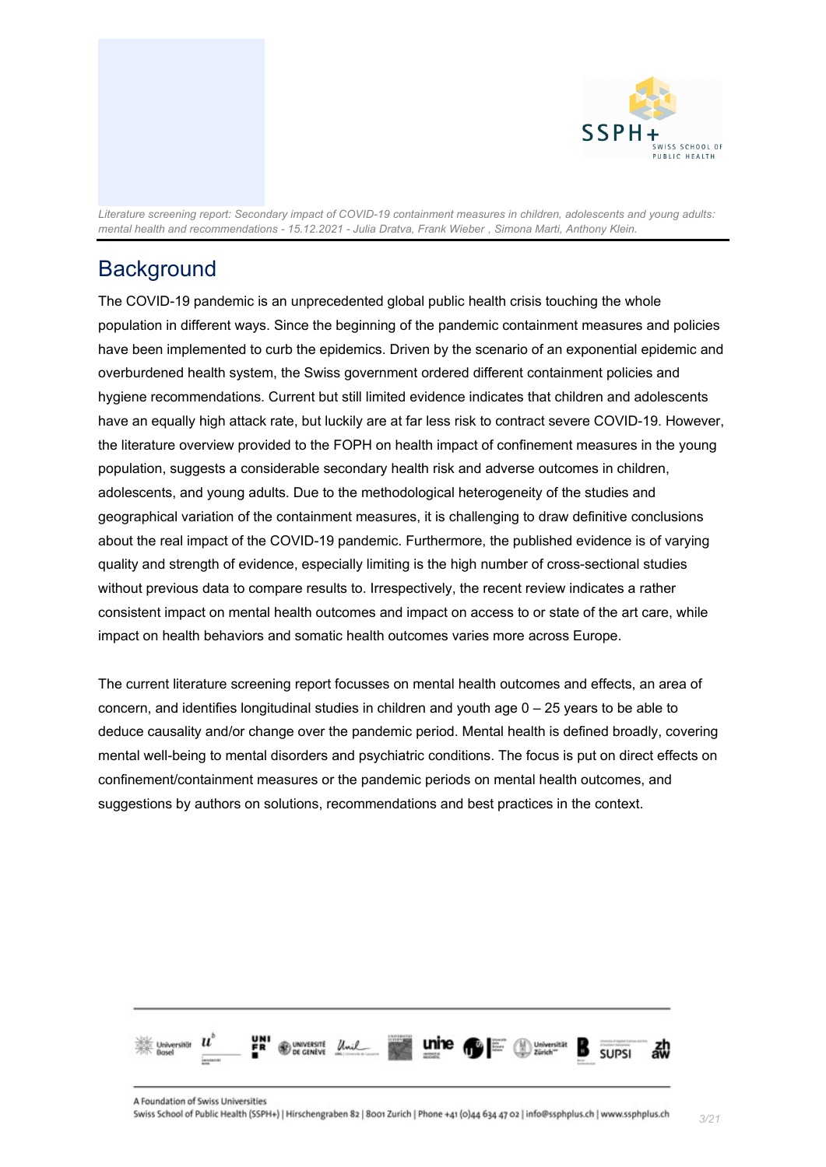

### <span id="page-2-0"></span>**Background**

The COVID-19 pandemic is an unprecedented global public health crisis touching the whole population in different ways. Since the beginning of the pandemic containment measures and policies have been implemented to curb the epidemics. Driven by the scenario of an exponential epidemic and overburdened health system, the Swiss government ordered different containment policies and hygiene recommendations. Current but still limited evidence indicates that children and adolescents have an equally high attack rate, but luckily are at far less risk to contract severe COVID-19. However, the literature overview provided to the FOPH on health impact of confinement measures in the young population, suggests a considerable secondary health risk and adverse outcomes in children, adolescents, and young adults. Due to the methodological heterogeneity of the studies and geographical variation of the containment measures, it is challenging to draw definitive conclusions about the real impact of the COVID-19 pandemic. Furthermore, the published evidence is of varying quality and strength of evidence, especially limiting is the high number of cross-sectional studies without previous data to compare results to. Irrespectively, the recent review indicates a rather consistent impact on mental health outcomes and impact on access to or state of the art care, while impact on health behaviors and somatic health outcomes varies more across Europe.

The current literature screening report focusses on mental health outcomes and effects, an area of concern, and identifies longitudinal studies in children and youth age 0 – 25 years to be able to deduce causality and/or change over the pandemic period. Mental health is defined broadly, covering mental well-being to mental disorders and psychiatric conditions. The focus is put on direct effects on confinement/containment measures or the pandemic periods on mental health outcomes, and suggestions by authors on solutions, recommendations and best practices in the context.

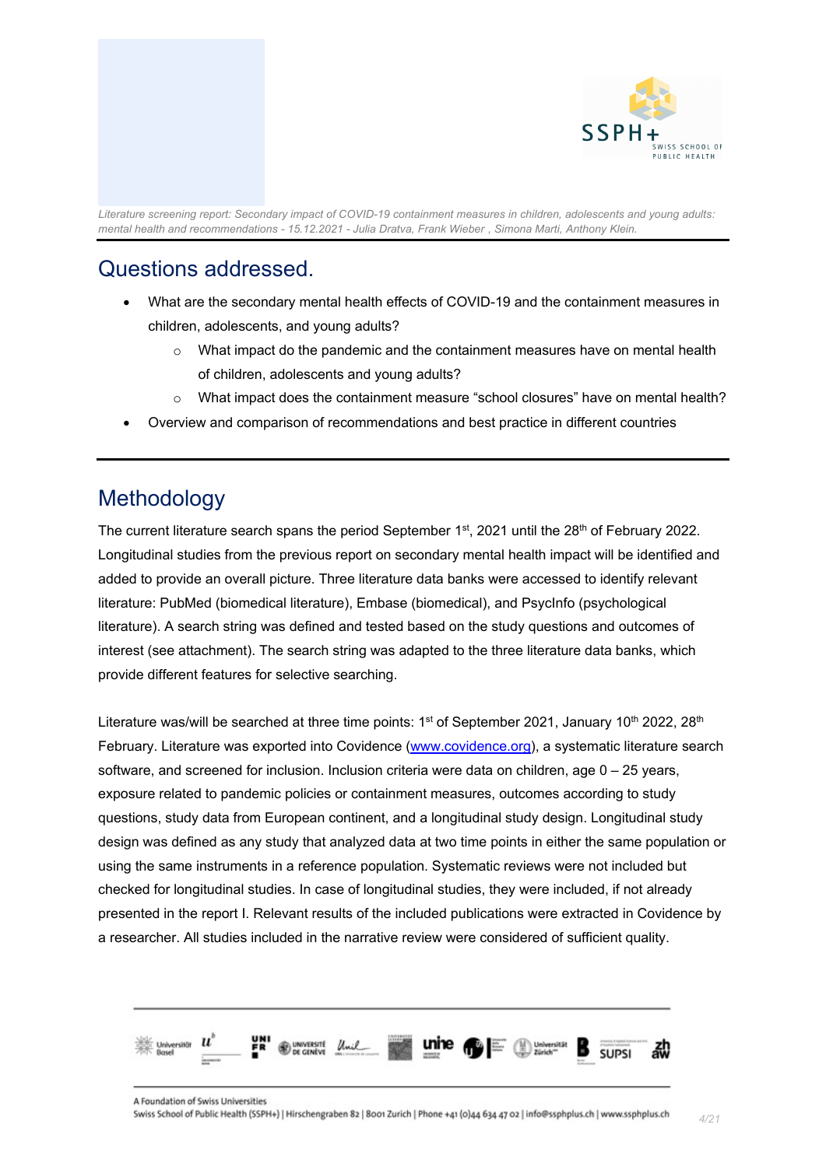

### <span id="page-3-0"></span>Questions addressed.

- What are the secondary mental health effects of COVID-19 and the containment measures in children, adolescents, and young adults?
	- $\circ$  What impact do the pandemic and the containment measures have on mental health of children, adolescents and young adults?
	- o What impact does the containment measure "school closures" have on mental health?
- Overview and comparison of recommendations and best practice in different countries

### <span id="page-3-1"></span>Methodology

The current literature search spans the period September  $1<sup>st</sup>$ , 2021 until the 28<sup>th</sup> of February 2022. Longitudinal studies from the previous report on secondary mental health impact will be identified and added to provide an overall picture. Three literature data banks were accessed to identify relevant literature: PubMed (biomedical literature), Embase (biomedical), and PsycInfo (psychological literature). A search string was defined and tested based on the study questions and outcomes of interest (see attachment). The search string was adapted to the three literature data banks, which provide different features for selective searching.

Literature was/will be searched at three time points: 1<sup>st</sup> of September 2021, January 10<sup>th</sup> 2022, 28<sup>th</sup> February. Literature was exported into Covidence [\(www.covidence.org\)](https://www.covidence.org/), a systematic literature search software, and screened for inclusion. Inclusion criteria were data on children, age 0 – 25 years, exposure related to pandemic policies or containment measures, outcomes according to study questions, study data from European continent, and a longitudinal study design. Longitudinal study design was defined as any study that analyzed data at two time points in either the same population or using the same instruments in a reference population. Systematic reviews were not included but checked for longitudinal studies. In case of longitudinal studies, they were included, if not already presented in the report I. Relevant results of the included publications were extracted in Covidence by a researcher. All studies included in the narrative review were considered of sufficient quality.



*4/21*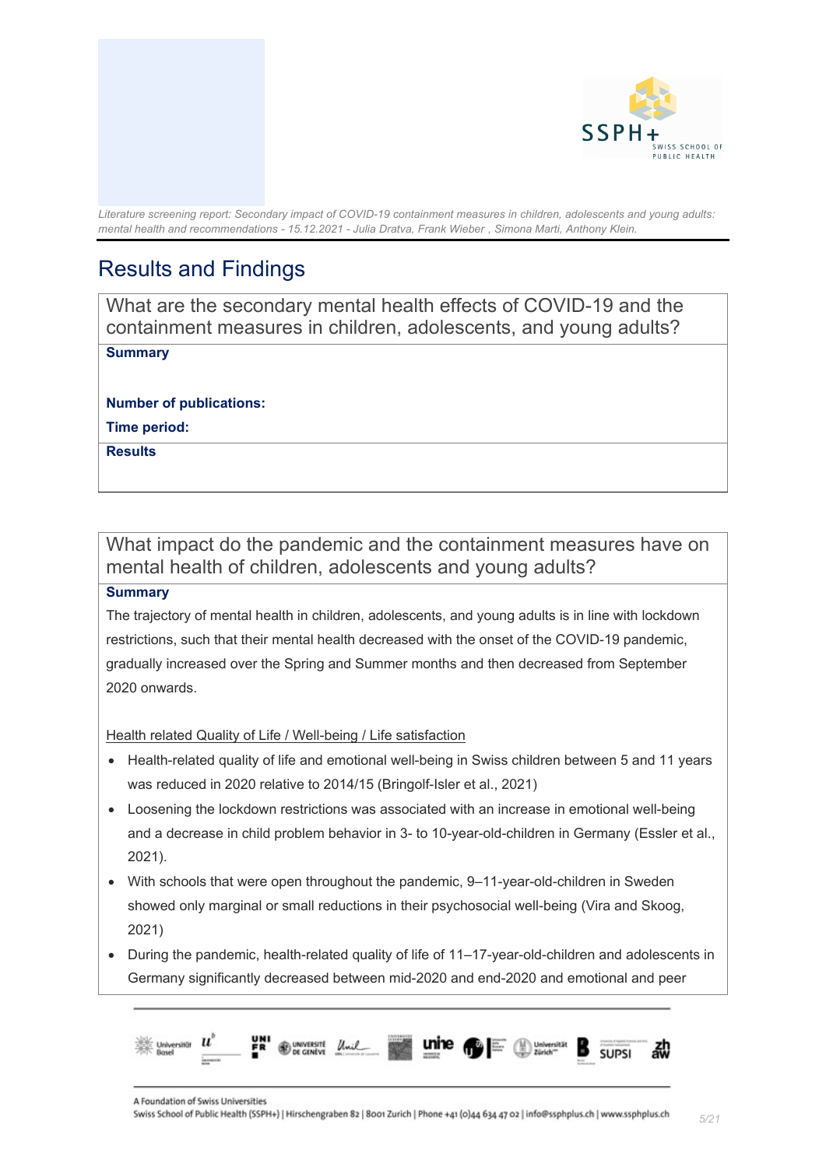

### <span id="page-4-0"></span>Results and Findings

<span id="page-4-1"></span>What are the secondary mental health effects of COVID-19 and the containment measures in children, adolescents, and young adults?

#### **Summary**

**Number of publications:** 

**Time period:** 

**Results**

### <span id="page-4-2"></span>What impact do the pandemic and the containment measures have on mental health of children, adolescents and young adults?

#### **Summary**

The trajectory of mental health in children, adolescents, and young adults is in line with lockdown restrictions, such that their mental health decreased with the onset of the COVID-19 pandemic, gradually increased over the Spring and Summer months and then decreased from September 2020 onwards.

Health related Quality of Life / Well-being / Life satisfaction

- Health-related quality of life and emotional well-being in Swiss children between 5 and 11 years was reduced in 2020 relative to 2014/15 (Bringolf-Isler et al., 2021)
- Loosening the lockdown restrictions was associated with an increase in emotional well-being and a decrease in child problem behavior in 3- to 10-year-old-children in Germany (Essler et al., 2021).
- With schools that were open throughout the pandemic, 9–11-year-old-children in Sweden showed only marginal or small reductions in their psychosocial well-being (Vira and Skoog, 2021)
- During the pandemic, health-related quality of life of 11–17-year-old-children and adolescents in Germany significantly decreased between mid-2020 and end-2020 and emotional and peer

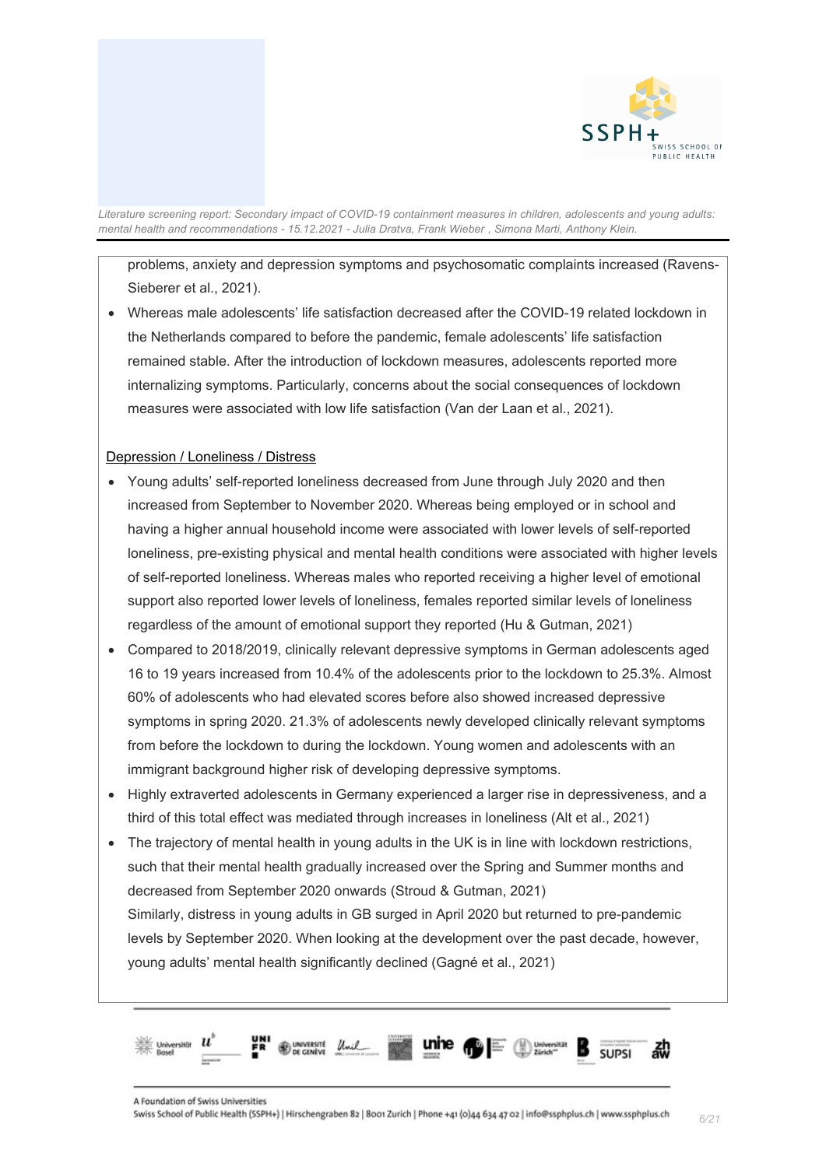

problems, anxiety and depression symptoms and psychosomatic complaints increased (Ravens-Sieberer et al., 2021).

• Whereas male adolescents' life satisfaction decreased after the COVID-19 related lockdown in the Netherlands compared to before the pandemic, female adolescents' life satisfaction remained stable. After the introduction of lockdown measures, adolescents reported more internalizing symptoms. Particularly, concerns about the social consequences of lockdown measures were associated with low life satisfaction (Van der Laan et al., 2021).

#### Depression / Loneliness / Distress

- Young adults' self-reported loneliness decreased from June through July 2020 and then increased from September to November 2020. Whereas being employed or in school and having a higher annual household income were associated with lower levels of self-reported loneliness, pre-existing physical and mental health conditions were associated with higher levels of self-reported loneliness. Whereas males who reported receiving a higher level of emotional support also reported lower levels of loneliness, females reported similar levels of loneliness regardless of the amount of emotional support they reported (Hu & Gutman, 2021)
- Compared to 2018/2019, clinically relevant depressive symptoms in German adolescents aged 16 to 19 years increased from 10.4% of the adolescents prior to the lockdown to 25.3%. Almost 60% of adolescents who had elevated scores before also showed increased depressive symptoms in spring 2020. 21.3% of adolescents newly developed clinically relevant symptoms from before the lockdown to during the lockdown. Young women and adolescents with an immigrant background higher risk of developing depressive symptoms.
- Highly extraverted adolescents in Germany experienced a larger rise in depressiveness, and a third of this total effect was mediated through increases in loneliness (Alt et al., 2021)
- The trajectory of mental health in young adults in the UK is in line with lockdown restrictions, such that their mental health gradually increased over the Spring and Summer months and decreased from September 2020 onwards (Stroud & Gutman, 2021) Similarly, distress in young adults in GB surged in April 2020 but returned to pre-pandemic levels by September 2020. When looking at the development over the past decade, however, young adults' mental health significantly declined (Gagné et al., 2021)

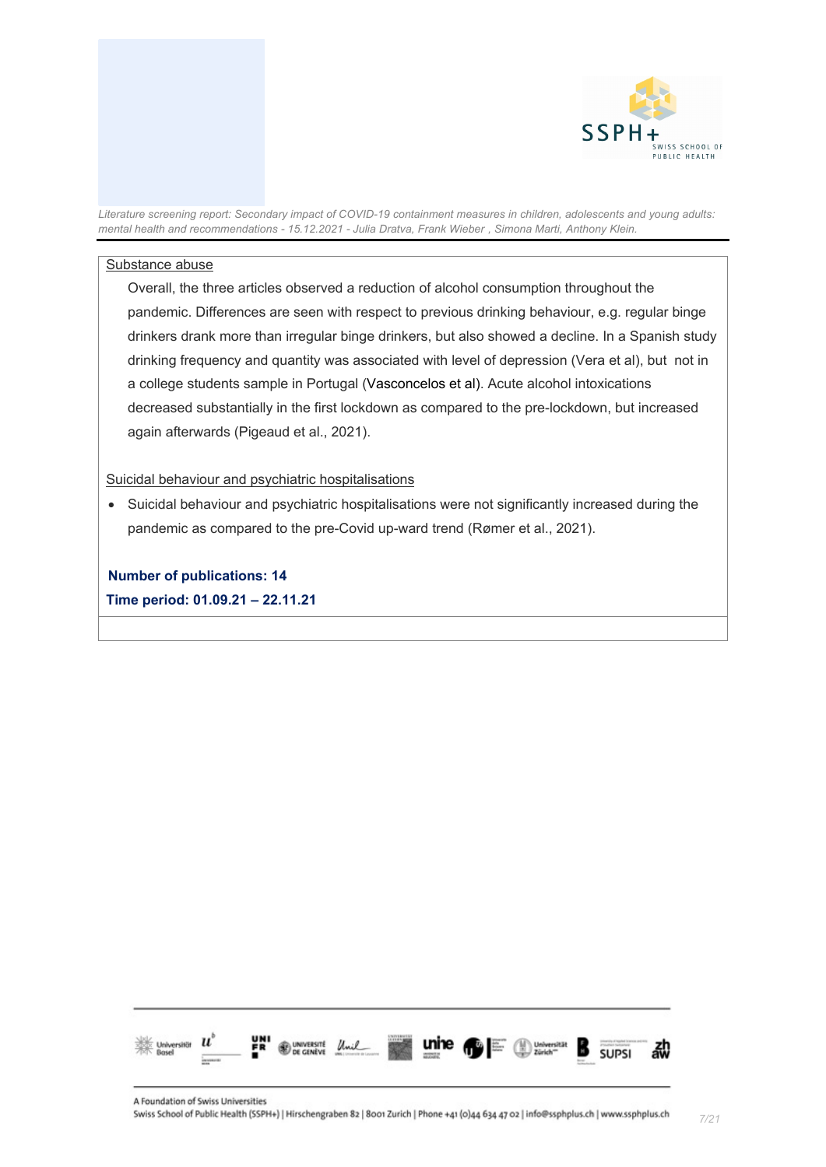

#### Substance abuse

Overall, the three articles observed a reduction of alcohol consumption throughout the pandemic. Differences are seen with respect to previous drinking behaviour, e.g. regular binge drinkers drank more than irregular binge drinkers, but also showed a decline. In a Spanish study drinking frequency and quantity was associated with level of depression (Vera et al), but not in a college students sample in Portugal (Vasconcelos et al). Acute alcohol intoxications decreased substantially in the first lockdown as compared to the pre-lockdown, but increased again afterwards (Pigeaud et al., 2021).

Suicidal behaviour and psychiatric hospitalisations

• Suicidal behaviour and psychiatric hospitalisations were not significantly increased during the pandemic as compared to the pre-Covid up-ward trend (Rømer et al., 2021).

**Number of publications: 14 Time period: 01.09.21 – 22.11.21**

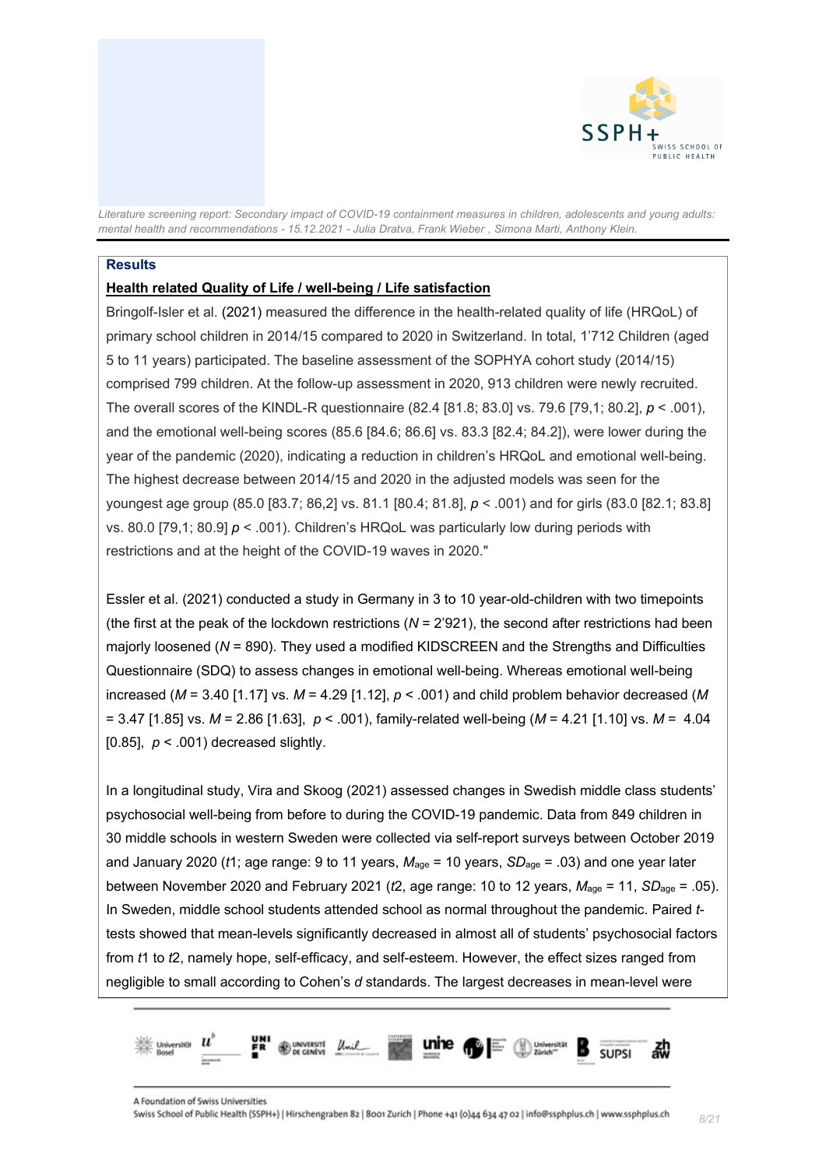

#### **Results**

#### **Health related Quality of Life / well-being / Life satisfaction**

Bringolf-Isler et al. (2021) measured the difference in the health-related quality of life (HRQoL) of primary school children in 2014/15 compared to 2020 in Switzerland. In total, 1'712 Children (aged 5 to 11 years) participated. The baseline assessment of the SOPHYA cohort study (2014/15) comprised 799 children. At the follow-up assessment in 2020, 913 children were newly recruited. The overall scores of the KINDL-R questionnaire (82.4 [81.8; 83.0] vs. 79.6 [79,1; 80.2], *p* < .001), and the emotional well-being scores (85.6 [84.6; 86.6] vs. 83.3 [82.4; 84.2]), were lower during the year of the pandemic (2020), indicating a reduction in children's HRQoL and emotional well-being. The highest decrease between 2014/15 and 2020 in the adjusted models was seen for the youngest age group (85.0 [83.7; 86,2] vs. 81.1 [80.4; 81.8], *p* < .001) and for girls (83.0 [82.1; 83.8] vs. 80.0 [79,1; 80.9] *p* < .001). Children's HRQoL was particularly low during periods with restrictions and at the height of the COVID-19 waves in 2020."

Essler et al. (2021) conducted a study in Germany in 3 to 10 year-old-children with two timepoints (the first at the peak of the lockdown restrictions (*N* = 2'921), the second after restrictions had been majorly loosened (*N* = 890). They used a modified KIDSCREEN and the Strengths and Difficulties Questionnaire (SDQ) to assess changes in emotional well-being. Whereas emotional well-being increased (*M* = 3.40 [1.17] vs. *M* = 4.29 [1.12], *p* < .001) and child problem behavior decreased (*M* = 3.47 [1.85] vs. *M* = 2.86 [1.63], *p* < .001), family-related well-being (*M* = 4.21 [1.10] vs. *M* = 4.04 [0.85],  $p < .001$ ) decreased slightly.

In a longitudinal study, Vira and Skoog (2021) assessed changes in Swedish middle class students' psychosocial well-being from before to during the COVID-19 pandemic. Data from 849 children in 30 middle schools in western Sweden were collected via self-report surveys between October 2019 and January 2020 (*t*1; age range: 9 to 11 years, *M*age = 10 years, *SD*age = .03) and one year later between November 2020 and February 2021 (*t*2, age range: 10 to 12 years, *M*age = 11, *SD*age = .05). In Sweden, middle school students attended school as normal throughout the pandemic. Paired *t*tests showed that mean-levels significantly decreased in almost all of students' psychosocial factors from *t*1 to *t*2, namely hope, self-efficacy, and self-esteem. However, the effect sizes ranged from negligible to small according to Cohen's *d* standards. The largest decreases in mean-level were

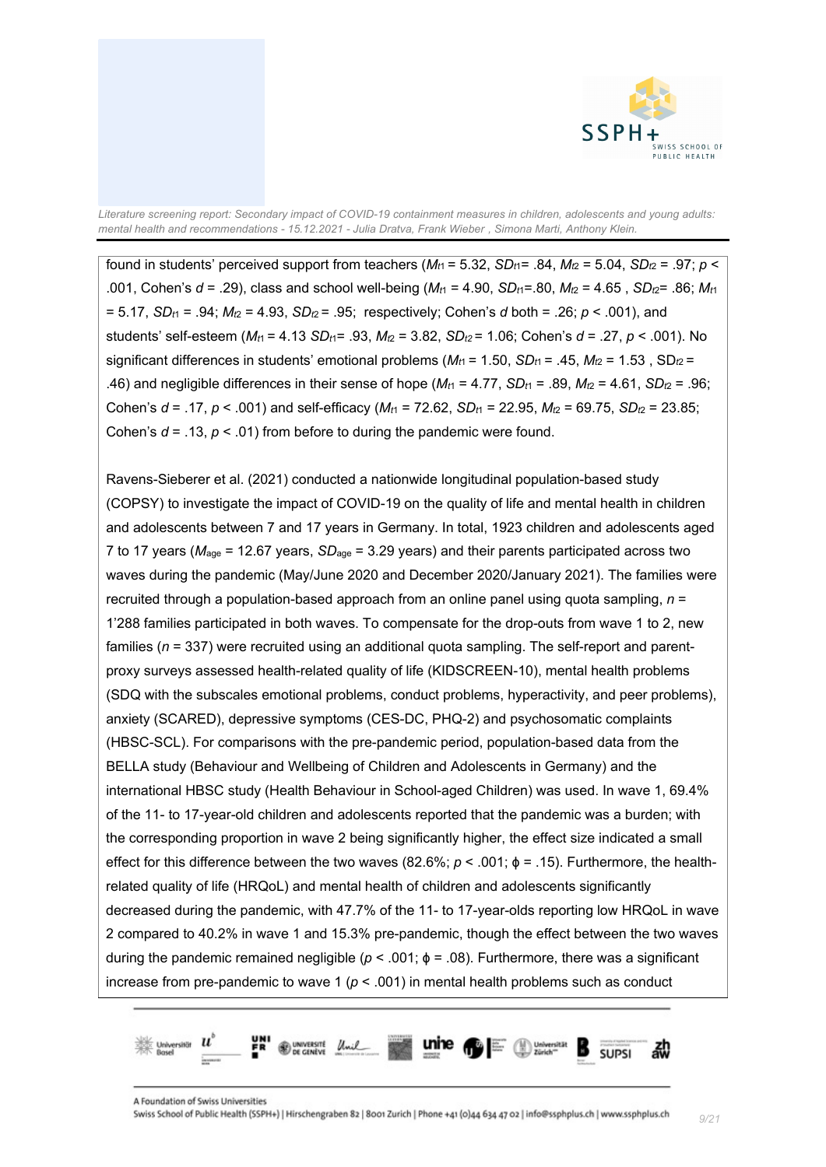

found in students' perceived support from teachers  $(M_{t1} = 5.32, SD_{t1} = .84, M_{t2} = 5.04, SD_{t2} = .97; p <$ .001, Cohen's  $d = .29$ ), class and school well-being ( $M_{t1} = 4.90$ ,  $SD_{t1} = .80$ ,  $M_{t2} = 4.65$ ,  $SD_{t2} = .86$ ;  $M_{t1}$  $= 5.17$ , *SD<sub>t1</sub>* = .94; *M<sub>t2</sub>* = 4.93, *SD<sub>t2</sub>* = .95; respectively; Cohen's *d* both = .26; *p* < .001), and students' self-esteem (*Mt*1 = 4.13 *SDt*1= .93, *Mt*<sup>2</sup> = 3.82, *SDt2* = 1.06; Cohen's *d* = .27, *p* < .001). No significant differences in students' emotional problems ( $M_{t1}$  = 1.50, *SD<sub>t1</sub>* = .45,  $M_{t2}$  = 1.53, SD<sub>t2</sub> = .46) and negligible differences in their sense of hope  $(M_{t1} = 4.77, SD_{t1} = .89, M_{t2} = 4.61, SD_{t2} = .96;$ Cohen's  $d = .17$ ,  $p < .001$ ) and self-efficacy ( $M_H = 72.62$ ,  $SD_H = 22.95$ ,  $M_Z = 69.75$ ,  $SD_Z = 23.85$ ; Cohen's  $d = .13$ ,  $p < .01$ ) from before to during the pandemic were found.

Ravens-Sieberer et al. (2021) conducted a nationwide longitudinal population-based study (COPSY) to investigate the impact of COVID-19 on the quality of life and mental health in children and adolescents between 7 and 17 years in Germany. In total, 1923 children and adolescents aged 7 to 17 years (*M*age = 12.67 years, *SD*age = 3.29 years) and their parents participated across two waves during the pandemic (May/June 2020 and December 2020/January 2021). The families were recruited through a population-based approach from an online panel using quota sampling, *n* = 1'288 families participated in both waves. To compensate for the drop-outs from wave 1 to 2, new families (*n* = 337) were recruited using an additional quota sampling. The self-report and parentproxy surveys assessed health-related quality of life (KIDSCREEN-10), mental health problems (SDQ with the subscales emotional problems, conduct problems, hyperactivity, and peer problems), anxiety (SCARED), depressive symptoms (CES-DC, PHQ-2) and psychosomatic complaints (HBSC-SCL). For comparisons with the pre-pandemic period, population-based data from the BELLA study (Behaviour and Wellbeing of Children and Adolescents in Germany) and the international HBSC study (Health Behaviour in School-aged Children) was used. In wave 1, 69.4% of the 11- to 17-year-old children and adolescents reported that the pandemic was a burden; with the corresponding proportion in wave 2 being significantly higher, the effect size indicated a small effect for this difference between the two waves (82.6%; *p* < .001; ϕ = .15). Furthermore, the healthrelated quality of life (HRQoL) and mental health of children and adolescents significantly decreased during the pandemic, with 47.7% of the 11- to 17-year-olds reporting low HRQoL in wave 2 compared to 40.2% in wave 1 and 15.3% pre-pandemic, though the effect between the two waves during the pandemic remained negligible ( $p < .001$ ;  $\phi = .08$ ). Furthermore, there was a significant increase from pre-pandemic to wave 1 ( $p < .001$ ) in mental health problems such as conduct

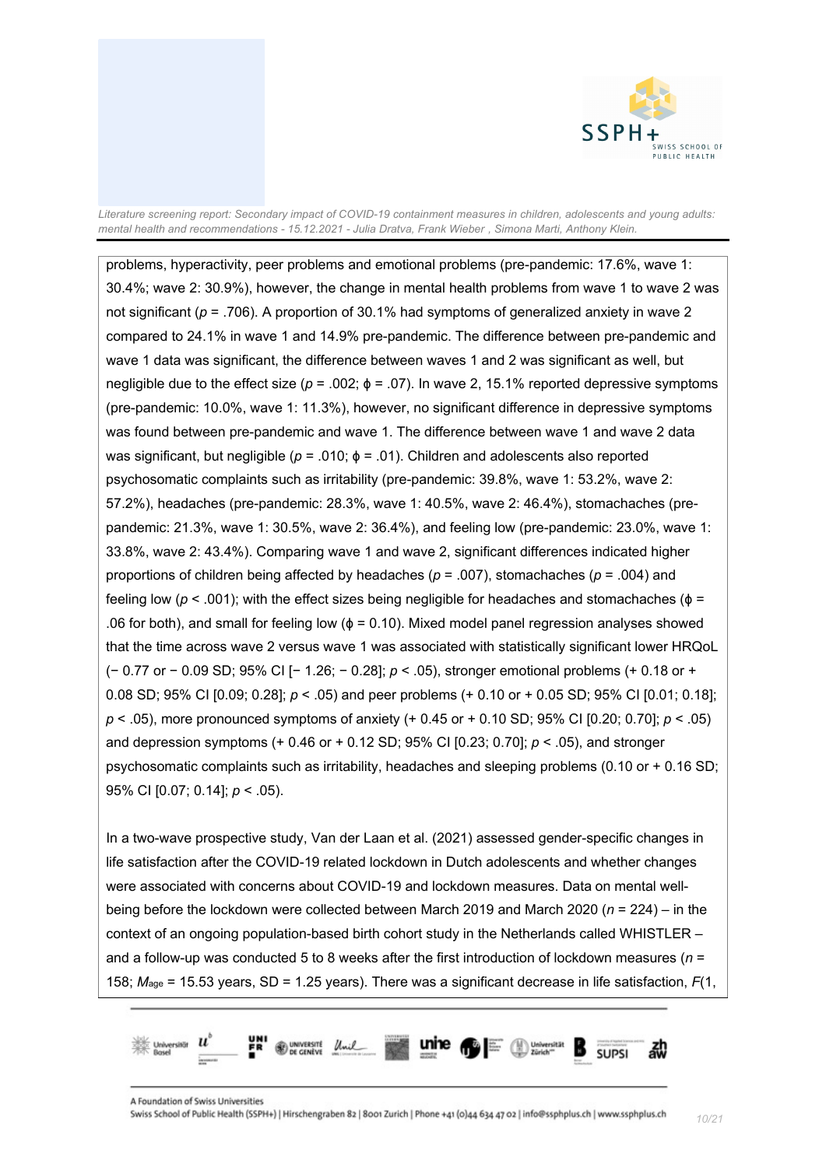

problems, hyperactivity, peer problems and emotional problems (pre-pandemic: 17.6%, wave 1: 30.4%; wave 2: 30.9%), however, the change in mental health problems from wave 1 to wave 2 was not significant ( $p = 0.706$ ). A proportion of 30.1% had symptoms of generalized anxiety in wave 2 compared to 24.1% in wave 1 and 14.9% pre-pandemic. The difference between pre-pandemic and wave 1 data was significant, the difference between waves 1 and 2 was significant as well, but negligible due to the effect size ( $p = .002$ ;  $\phi = .07$ ). In wave 2, 15.1% reported depressive symptoms (pre-pandemic: 10.0%, wave 1: 11.3%), however, no significant difference in depressive symptoms was found between pre-pandemic and wave 1. The difference between wave 1 and wave 2 data was significant, but negligible (*p* = .010; ϕ = .01). Children and adolescents also reported psychosomatic complaints such as irritability (pre-pandemic: 39.8%, wave 1: 53.2%, wave 2: 57.2%), headaches (pre-pandemic: 28.3%, wave 1: 40.5%, wave 2: 46.4%), stomachaches (prepandemic: 21.3%, wave 1: 30.5%, wave 2: 36.4%), and feeling low (pre-pandemic: 23.0%, wave 1: 33.8%, wave 2: 43.4%). Comparing wave 1 and wave 2, significant differences indicated higher proportions of children being affected by headaches (*p* = .007), stomachaches (*p* = .004) and feeling low ( $p < .001$ ); with the effect sizes being negligible for headaches and stomachaches ( $\phi =$ .06 for both), and small for feeling low ( $\phi$  = 0.10). Mixed model panel regression analyses showed that the time across wave 2 versus wave 1 was associated with statistically significant lower HRQoL (− 0.77 or − 0.09 SD; 95% CI [− 1.26; − 0.28]; *p* < .05), stronger emotional problems (+ 0.18 or + 0.08 SD; 95% CI [0.09; 0.28]; *p* < .05) and peer problems (+ 0.10 or + 0.05 SD; 95% CI [0.01; 0.18]; *p* < .05), more pronounced symptoms of anxiety (+ 0.45 or + 0.10 SD; 95% CI [0.20; 0.70]; *p* < .05) and depression symptoms (+ 0.46 or + 0.12 SD; 95% CI [0.23; 0.70]; *p* < .05), and stronger psychosomatic complaints such as irritability, headaches and sleeping problems (0.10 or + 0.16 SD; 95% CI [0.07; 0.14]; *p* < .05).

In a two-wave prospective study, Van der Laan et al. (2021) assessed gender-specific changes in life satisfaction after the COVID-19 related lockdown in Dutch adolescents and whether changes were associated with concerns about COVID-19 and lockdown measures. Data on mental wellbeing before the lockdown were collected between March 2019 and March 2020 (*n* = 224) – in the context of an ongoing population-based birth cohort study in the Netherlands called WHISTLER – and a follow-up was conducted 5 to 8 weeks after the first introduction of lockdown measures (*n* = 158; *M*age = 15.53 years, SD = 1.25 years). There was a significant decrease in life satisfaction, *F*(1,

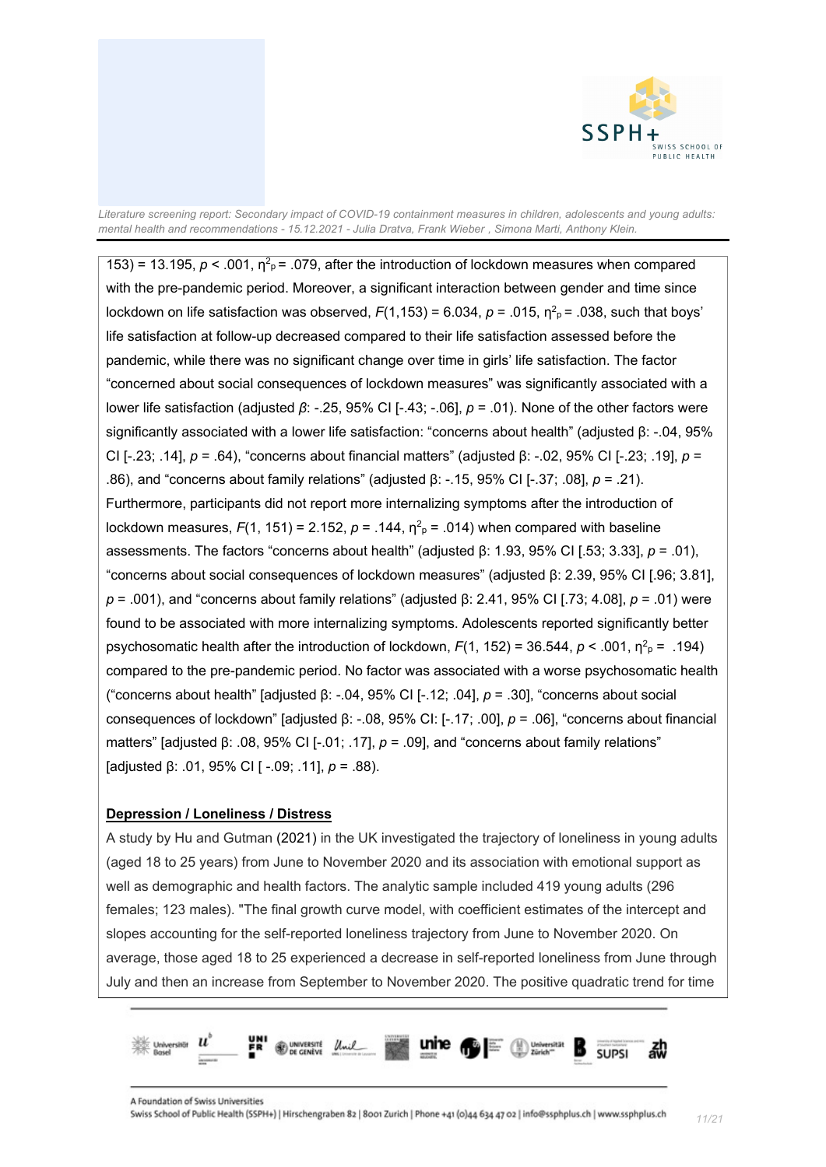

153) = 13.195,  $p < .001$ ,  $\eta^2$ <sub>p</sub> = .079, after the introduction of lockdown measures when compared with the pre-pandemic period. Moreover, a significant interaction between gender and time since lockdown on life satisfaction was observed,  $F(1,153)$  = 6.034,  $p$  = .015, η<sup>2</sup><sub>p</sub> = .038, such that boys' life satisfaction at follow-up decreased compared to their life satisfaction assessed before the pandemic, while there was no significant change over time in girls' life satisfaction. The factor "concerned about social consequences of lockdown measures" was significantly associated with a lower life satisfaction (adjusted *β*: -.25, 95% CI [-.43; -.06], *p* = .01). None of the other factors were significantly associated with a lower life satisfaction: "concerns about health" (adjusted β: -.04, 95% CI [-.23; .14], *p* = .64), "concerns about financial matters" (adjusted β: -.02, 95% CI [-.23; .19], *p* = .86), and "concerns about family relations" (adjusted β: -.15, 95% CI [-.37; .08], *p* = .21). Furthermore, participants did not report more internalizing symptoms after the introduction of lockdown measures,  $F(1, 151) = 2.152$ ,  $p = .144$ ,  $\eta^2$ <sub>P</sub> = .014) when compared with baseline assessments. The factors "concerns about health" (adjusted β: 1.93, 95% CI [.53; 3.33], *p* = .01), "concerns about social consequences of lockdown measures" (adjusted β: 2.39, 95% CI [.96; 3.81], *p* = .001), and "concerns about family relations" (adjusted β: 2.41, 95% CI [.73; 4.08], *p* = .01) were found to be associated with more internalizing symptoms. Adolescents reported significantly better psychosomatic health after the introduction of lockdown,  $F(1, 152) = 36.544$ ,  $p < .001$ ,  $\eta^2$ <sub>P</sub> = .194) compared to the pre-pandemic period. No factor was associated with a worse psychosomatic health ("concerns about health" [adjusted β: -.04, 95% CI [-.12; .04], *p* = .30], "concerns about social consequences of lockdown" [adjusted β: -.08, 95% CI: [-.17; .00], *p* = .06], "concerns about financial matters" [adjusted β: .08, 95% CI [-.01; .17], *p* = .09], and "concerns about family relations" [adjusted β: .01, 95% CI [ -.09; .11], *p* = .88).

#### **Depression / Loneliness / Distress**

A study by Hu and Gutman (2021) in the UK investigated the trajectory of loneliness in young adults (aged 18 to 25 years) from June to November 2020 and its association with emotional support as well as demographic and health factors. The analytic sample included 419 young adults (296 females; 123 males). "The final growth curve model, with coefficient estimates of the intercept and slopes accounting for the self-reported loneliness trajectory from June to November 2020. On average, those aged 18 to 25 experienced a decrease in self-reported loneliness from June through July and then an increase from September to November 2020. The positive quadratic trend for time

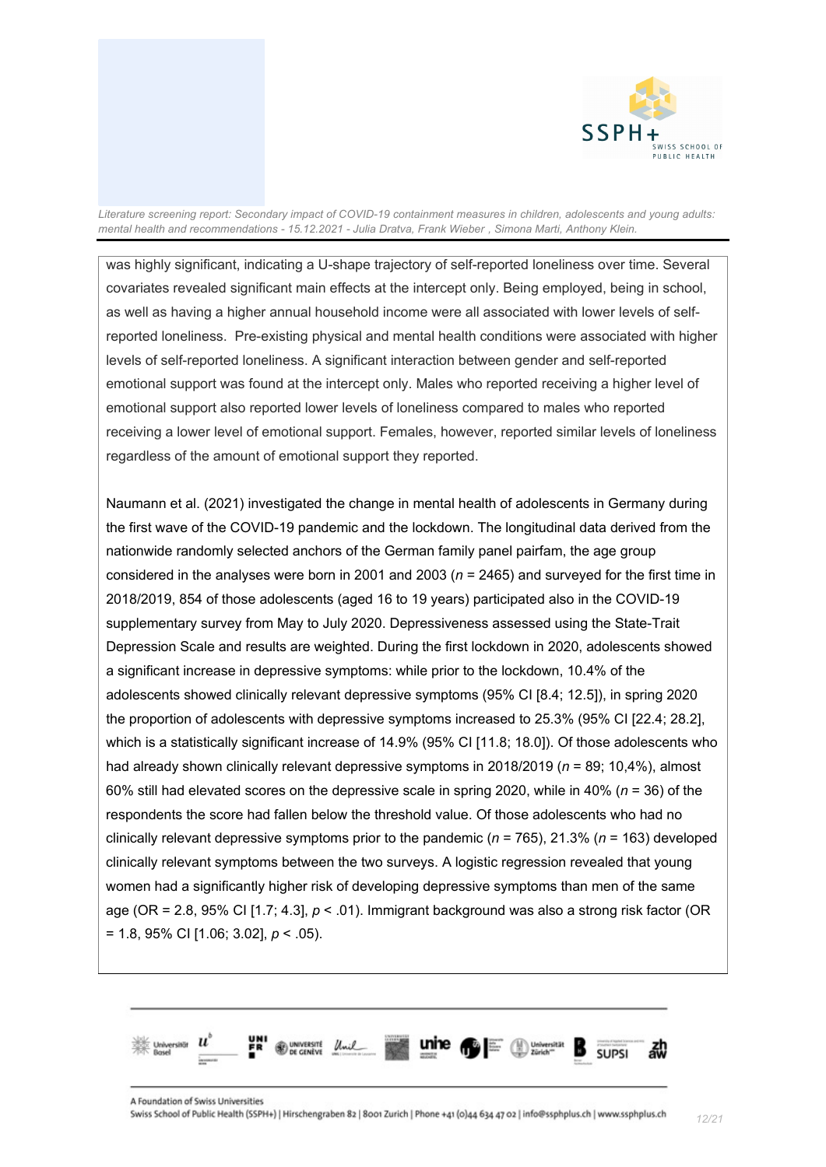

was highly significant, indicating a U-shape trajectory of self-reported loneliness over time. Several covariates revealed significant main effects at the intercept only. Being employed, being in school, as well as having a higher annual household income were all associated with lower levels of selfreported loneliness. Pre-existing physical and mental health conditions were associated with higher levels of self-reported loneliness. A significant interaction between gender and self-reported emotional support was found at the intercept only. Males who reported receiving a higher level of emotional support also reported lower levels of loneliness compared to males who reported receiving a lower level of emotional support. Females, however, reported similar levels of loneliness regardless of the amount of emotional support they reported.

Naumann et al. (2021) investigated the change in mental health of adolescents in Germany during the first wave of the COVID-19 pandemic and the lockdown. The longitudinal data derived from the nationwide randomly selected anchors of the German family panel pairfam, the age group considered in the analyses were born in 2001 and 2003 (*n* = 2465) and surveyed for the first time in 2018/2019, 854 of those adolescents (aged 16 to 19 years) participated also in the COVID-19 supplementary survey from May to July 2020. Depressiveness assessed using the State-Trait Depression Scale and results are weighted. During the first lockdown in 2020, adolescents showed a significant increase in depressive symptoms: while prior to the lockdown, 10.4% of the adolescents showed clinically relevant depressive symptoms (95% CI [8.4; 12.5]), in spring 2020 the proportion of adolescents with depressive symptoms increased to 25.3% (95% CI [22.4; 28.2], which is a statistically significant increase of 14.9% (95% CI [11.8; 18.0]). Of those adolescents who had already shown clinically relevant depressive symptoms in 2018/2019 (*n* = 89; 10,4%), almost 60% still had elevated scores on the depressive scale in spring 2020, while in 40% (*n* = 36) of the respondents the score had fallen below the threshold value. Of those adolescents who had no clinically relevant depressive symptoms prior to the pandemic (*n* = 765), 21.3% (*n* = 163) developed clinically relevant symptoms between the two surveys. A logistic regression revealed that young women had a significantly higher risk of developing depressive symptoms than men of the same age (OR = 2.8, 95% CI [1.7; 4.3], *p* < .01). Immigrant background was also a strong risk factor (OR = 1.8, 95% CI [1.06; 3.02], *p* < .05).

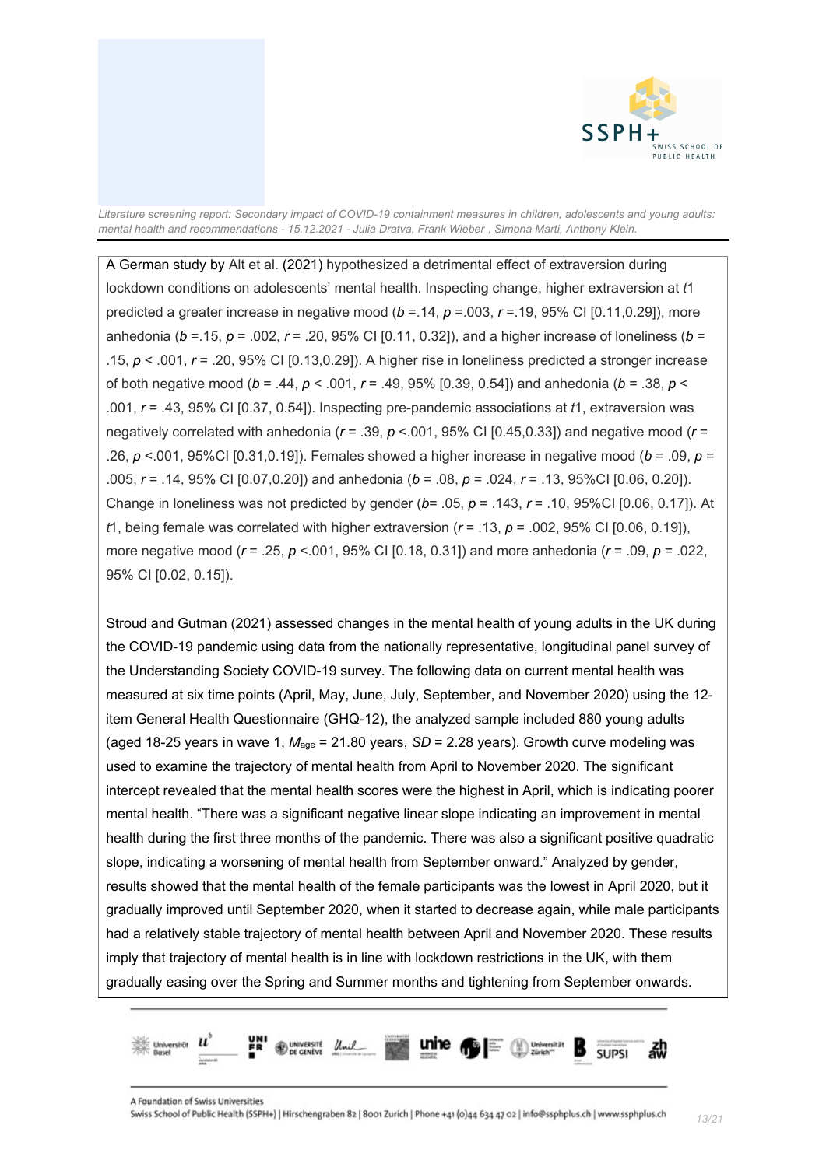

A German study by Alt et al. (2021) hypothesized a detrimental effect of extraversion during lockdown conditions on adolescents' mental health. Inspecting change, higher extraversion at *t*1 predicted a greater increase in negative mood (*b* =.14, *p* =.003, *r* =.19, 95% CI [0.11,0.29]), more anhedonia (*b* =.15, *p* = .002, *r* = .20, 95% CI [0.11, 0.32]), and a higher increase of loneliness (*b* = .15, *p* < .001, *r* = .20, 95% CI [0.13,0.29]). A higher rise in loneliness predicted a stronger increase of both negative mood (*b* = .44, *p* < .001, *r* = .49, 95% [0.39, 0.54]) and anhedonia (*b* = .38, *p* < .001, *r* = .43, 95% CI [0.37, 0.54]). Inspecting pre-pandemic associations at *t*1, extraversion was negatively correlated with anhedonia (*r* = .39, *p* <.001, 95% CI [0.45,0.33]) and negative mood (*r* = .26, *p* <.001, 95%CI [0.31,0.19]). Females showed a higher increase in negative mood (*b* = .09, *p* = .005, *r* = .14, 95% CI [0.07,0.20]) and anhedonia (*b* = .08, *p* = .024, *r* = .13, 95%CI [0.06, 0.20]). Change in loneliness was not predicted by gender (*b*= .05, *p* = .143, *r* = .10, 95%CI [0.06, 0.17]). At *t*1, being female was correlated with higher extraversion  $(r = .13, p = .002, 95\%$  CI [0.06, 0.19]), more negative mood (*r* = .25, *p* <.001, 95% CI [0.18, 0.31]) and more anhedonia (*r* = .09, *p* = .022, 95% CI [0.02, 0.15]).

Stroud and Gutman (2021) assessed changes in the mental health of young adults in the UK during the COVID-19 pandemic using data from the nationally representative, longitudinal panel survey of the Understanding Society COVID-19 survey. The following data on current mental health was measured at six time points (April, May, June, July, September, and November 2020) using the 12 item General Health Questionnaire (GHQ-12), the analyzed sample included 880 young adults (aged 18-25 years in wave 1, *M*age = 21.80 years, *SD* = 2.28 years). Growth curve modeling was used to examine the trajectory of mental health from April to November 2020. The significant intercept revealed that the mental health scores were the highest in April, which is indicating poorer mental health. "There was a significant negative linear slope indicating an improvement in mental health during the first three months of the pandemic. There was also a significant positive quadratic slope, indicating a worsening of mental health from September onward." Analyzed by gender, results showed that the mental health of the female participants was the lowest in April 2020, but it gradually improved until September 2020, when it started to decrease again, while male participants had a relatively stable trajectory of mental health between April and November 2020. These results imply that trajectory of mental health is in line with lockdown restrictions in the UK, with them gradually easing over the Spring and Summer months and tightening from September onwards.

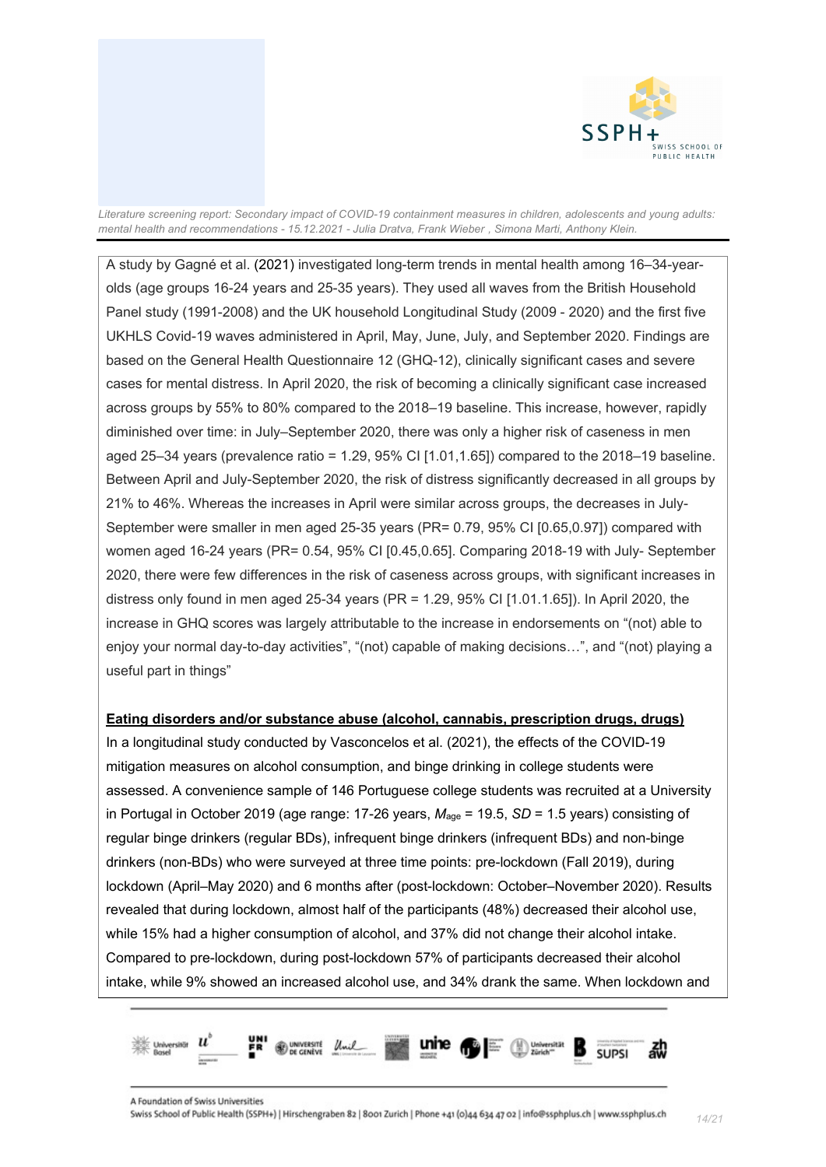

A study by Gagné et al. (2021) investigated long-term trends in mental health among 16–34-yearolds (age groups 16-24 years and 25-35 years). They used all waves from the British Household Panel study (1991-2008) and the UK household Longitudinal Study (2009 - 2020) and the first five UKHLS Covid-19 waves administered in April, May, June, July, and September 2020. Findings are based on the General Health Questionnaire 12 (GHQ-12), clinically significant cases and severe cases for mental distress. In April 2020, the risk of becoming a clinically significant case increased across groups by 55% to 80% compared to the 2018–19 baseline. This increase, however, rapidly diminished over time: in July–September 2020, there was only a higher risk of caseness in men aged 25–34 years (prevalence ratio = 1.29, 95% CI [1.01,1.65]) compared to the 2018–19 baseline. Between April and July-September 2020, the risk of distress significantly decreased in all groups by 21% to 46%. Whereas the increases in April were similar across groups, the decreases in July-September were smaller in men aged 25-35 years (PR= 0.79, 95% CI [0.65,0.97]) compared with women aged 16-24 years (PR= 0.54, 95% CI [0.45,0.65]. Comparing 2018-19 with July- September 2020, there were few differences in the risk of caseness across groups, with significant increases in distress only found in men aged 25-34 years (PR = 1.29, 95% CI [1.01.1.65]). In April 2020, the increase in GHQ scores was largely attributable to the increase in endorsements on "(not) able to enjoy your normal day-to-day activities", "(not) capable of making decisions…", and "(not) playing a useful part in things"

#### **Eating disorders and/or substance abuse (alcohol, cannabis, prescription drugs, drugs)**

In a longitudinal study conducted by Vasconcelos et al. (2021), the effects of the COVID-19 mitigation measures on alcohol consumption, and binge drinking in college students were assessed. A convenience sample of 146 Portuguese college students was recruited at a University in Portugal in October 2019 (age range: 17-26 years, *M*age = 19.5, *SD* = 1.5 years) consisting of regular binge drinkers (regular BDs), infrequent binge drinkers (infrequent BDs) and non-binge drinkers (non-BDs) who were surveyed at three time points: pre-lockdown (Fall 2019), during lockdown (April–May 2020) and 6 months after (post-lockdown: October–November 2020). Results revealed that during lockdown, almost half of the participants (48%) decreased their alcohol use, while 15% had a higher consumption of alcohol, and 37% did not change their alcohol intake. Compared to pre-lockdown, during post-lockdown 57% of participants decreased their alcohol intake, while 9% showed an increased alcohol use, and 34% drank the same. When lockdown and

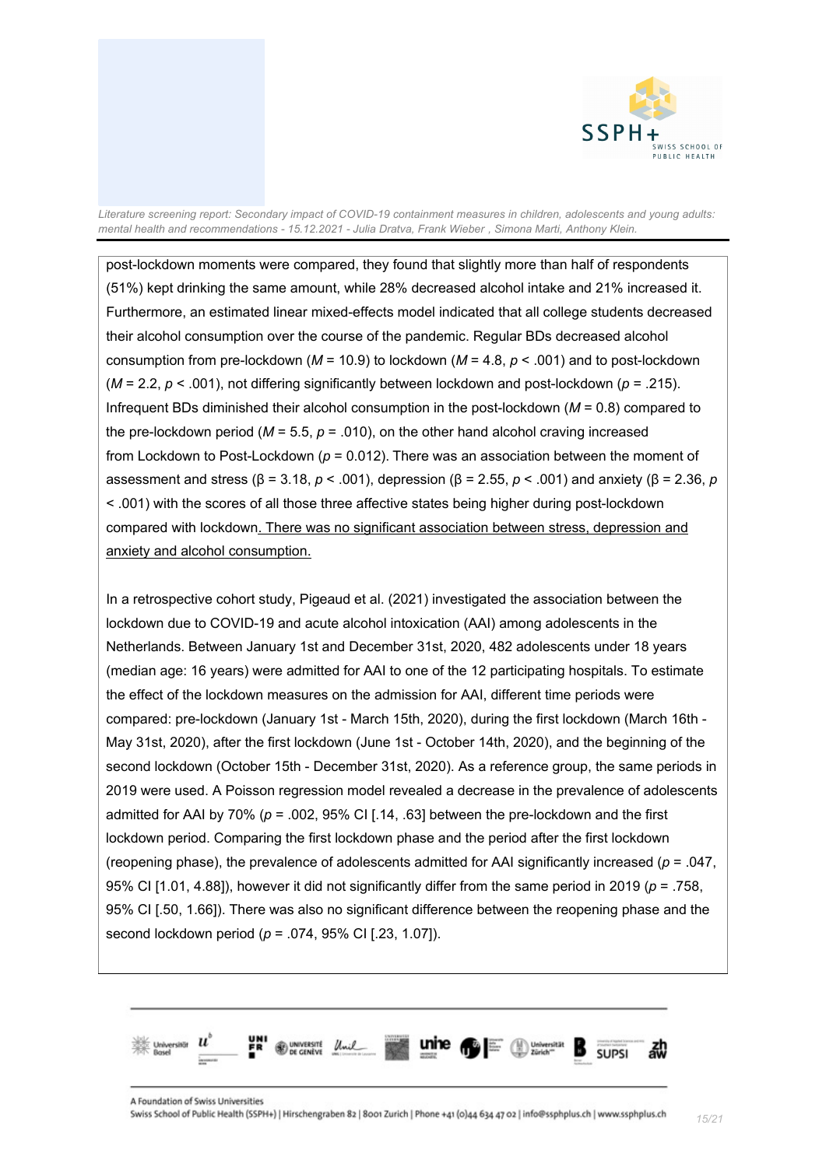

post-lockdown moments were compared, they found that slightly more than half of respondents (51%) kept drinking the same amount, while 28% decreased alcohol intake and 21% increased it. Furthermore, an estimated linear mixed-effects model indicated that all college students decreased their alcohol consumption over the course of the pandemic. Regular BDs decreased alcohol consumption from pre-lockdown (*M* = 10.9) to lockdown (*M* = 4.8, *p* < .001) and to post-lockdown (*M* = 2.2, *p* < .001), not differing significantly between lockdown and post-lockdown (*p* = .215). Infrequent BDs diminished their alcohol consumption in the post-lockdown (*M* = 0.8) compared to the pre-lockdown period ( $M = 5.5$ ,  $p = .010$ ), on the other hand alcohol craving increased from Lockdown to Post-Lockdown (*p* = 0.012). There was an association between the moment of assessment and stress (β = 3.18, *p* < .001), depression (β = 2.55, *p* < .001) and anxiety (β = 2.36, *p*  < .001) with the scores of all those three affective states being higher during post-lockdown compared with lockdown. There was no significant association between stress, depression and anxiety and alcohol consumption.

In a retrospective cohort study, Pigeaud et al. (2021) investigated the association between the lockdown due to COVID-19 and acute alcohol intoxication (AAI) among adolescents in the Netherlands. Between January 1st and December 31st, 2020, 482 adolescents under 18 years (median age: 16 years) were admitted for AAI to one of the 12 participating hospitals. To estimate the effect of the lockdown measures on the admission for AAI, different time periods were compared: pre-lockdown (January 1st - March 15th, 2020), during the first lockdown (March 16th - May 31st, 2020), after the first lockdown (June 1st - October 14th, 2020), and the beginning of the second lockdown (October 15th - December 31st, 2020). As a reference group, the same periods in 2019 were used. A Poisson regression model revealed a decrease in the prevalence of adolescents admitted for AAI by 70% ( $p = 0.002$ , 95% CI [.14, .63] between the pre-lockdown and the first lockdown period. Comparing the first lockdown phase and the period after the first lockdown (reopening phase), the prevalence of adolescents admitted for AAI significantly increased (*p* = .047, 95% CI [1.01, 4.88]), however it did not significantly differ from the same period in 2019 (*p* = .758, 95% CI [.50, 1.66]). There was also no significant difference between the reopening phase and the second lockdown period (*p* = .074, 95% CI [.23, 1.07]).

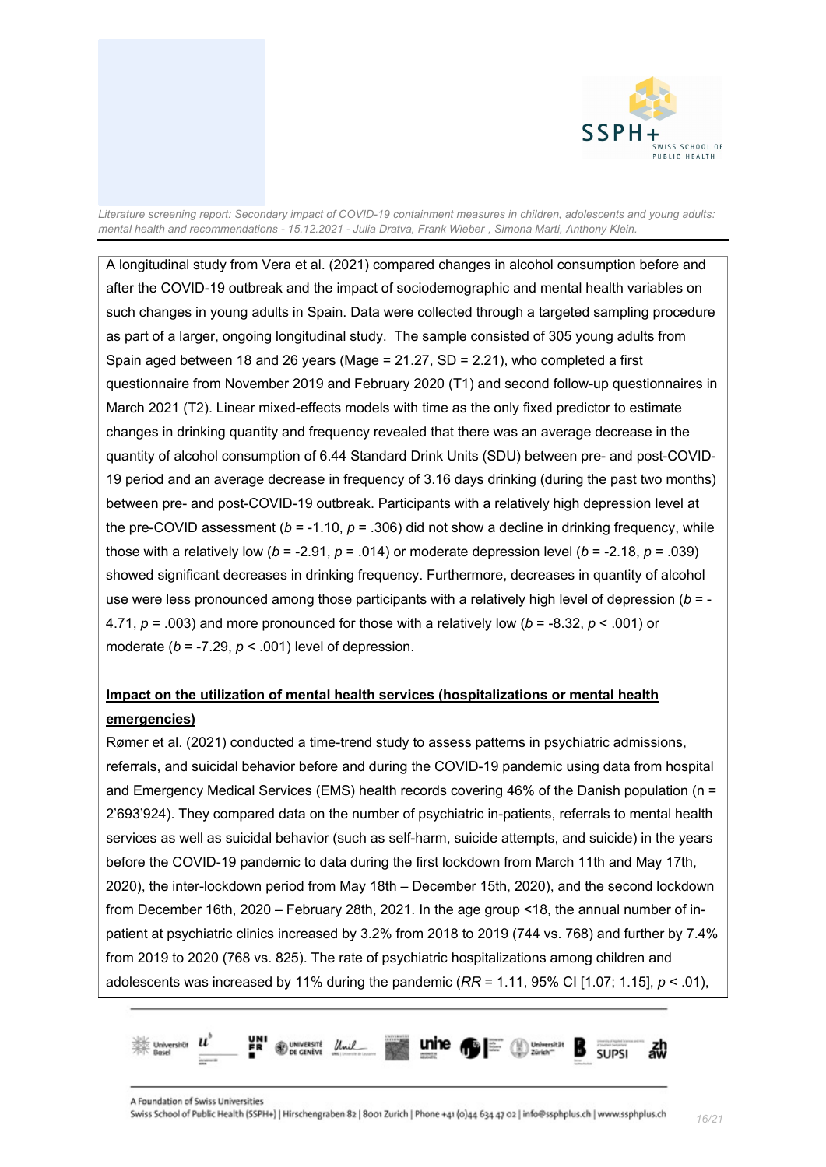

A longitudinal study from Vera et al. (2021) compared changes in alcohol consumption before and after the COVID-19 outbreak and the impact of sociodemographic and mental health variables on such changes in young adults in Spain. Data were collected through a targeted sampling procedure as part of a larger, ongoing longitudinal study. The sample consisted of 305 young adults from Spain aged between 18 and 26 years (Mage = 21.27, SD = 2.21), who completed a first questionnaire from November 2019 and February 2020 (T1) and second follow-up questionnaires in March 2021 (T2). Linear mixed-effects models with time as the only fixed predictor to estimate changes in drinking quantity and frequency revealed that there was an average decrease in the quantity of alcohol consumption of 6.44 Standard Drink Units (SDU) between pre- and post-COVID-19 period and an average decrease in frequency of 3.16 days drinking (during the past two months) between pre- and post-COVID-19 outbreak. Participants with a relatively high depression level at the pre-COVID assessment (*b* = -1.10, *p* = .306) did not show a decline in drinking frequency, while those with a relatively low ( $b = -2.91$ ,  $p = .014$ ) or moderate depression level ( $b = -2.18$ ,  $p = .039$ ) showed significant decreases in drinking frequency. Furthermore, decreases in quantity of alcohol use were less pronounced among those participants with a relatively high level of depression (*b* = - 4.71, *p* = .003) and more pronounced for those with a relatively low (*b* = -8.32, *p* < .001) or moderate  $(b = -7.29, p < .001)$  level of depression.

### **Impact on the utilization of mental health services (hospitalizations or mental health emergencies)**

Rømer et al. (2021) conducted a time-trend study to assess patterns in psychiatric admissions, referrals, and suicidal behavior before and during the COVID-19 pandemic using data from hospital and Emergency Medical Services (EMS) health records covering 46% of the Danish population (n = 2'693'924). They compared data on the number of psychiatric in-patients, referrals to mental health services as well as suicidal behavior (such as self-harm, suicide attempts, and suicide) in the years before the COVID-19 pandemic to data during the first lockdown from March 11th and May 17th, 2020), the inter-lockdown period from May 18th – December 15th, 2020), and the second lockdown from December 16th, 2020 – February 28th, 2021. In the age group <18, the annual number of inpatient at psychiatric clinics increased by 3.2% from 2018 to 2019 (744 vs. 768) and further by 7.4% from 2019 to 2020 (768 vs. 825). The rate of psychiatric hospitalizations among children and adolescents was increased by 11% during the pandemic (*RR* = 1.11, 95% CI [1.07; 1.15], *p* < .01),

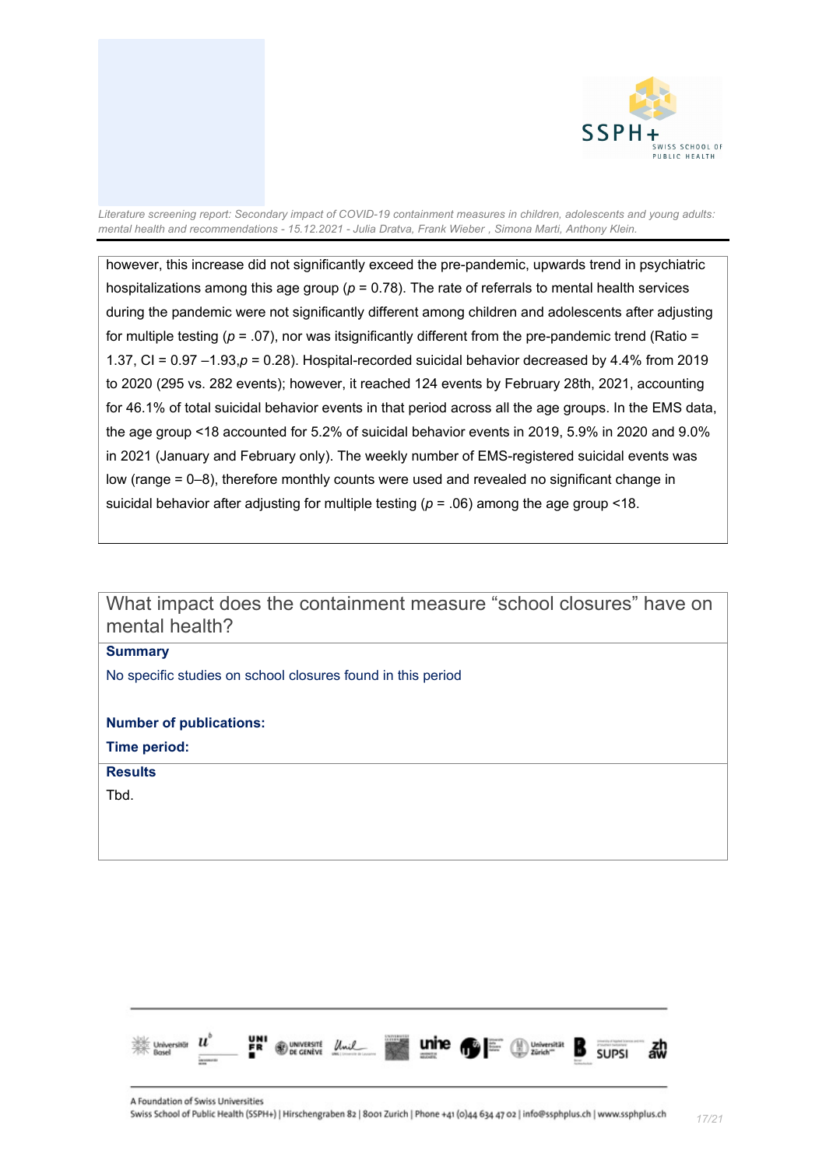

however, this increase did not significantly exceed the pre-pandemic, upwards trend in psychiatric hospitalizations among this age group (*p* = 0.78). The rate of referrals to mental health services during the pandemic were not significantly different among children and adolescents after adjusting for multiple testing  $(p = .07)$ , nor was itsignificantly different from the pre-pandemic trend (Ratio = 1.37, CI = 0.97 –1.93,*p* = 0.28). Hospital-recorded suicidal behavior decreased by 4.4% from 2019 to 2020 (295 vs. 282 events); however, it reached 124 events by February 28th, 2021, accounting for 46.1% of total suicidal behavior events in that period across all the age groups. In the EMS data, the age group <18 accounted for 5.2% of suicidal behavior events in 2019, 5.9% in 2020 and 9.0% in 2021 (January and February only). The weekly number of EMS-registered suicidal events was low (range = 0–8), therefore monthly counts were used and revealed no significant change in suicidal behavior after adjusting for multiple testing  $(p = .06)$  among the age group <18.

<span id="page-16-0"></span>What impact does the containment measure "school closures" have on mental health?

**Summary**

No specific studies on school closures found in this period

**Number of publications:** 

**Time period:** 

**Results**

Tbd.

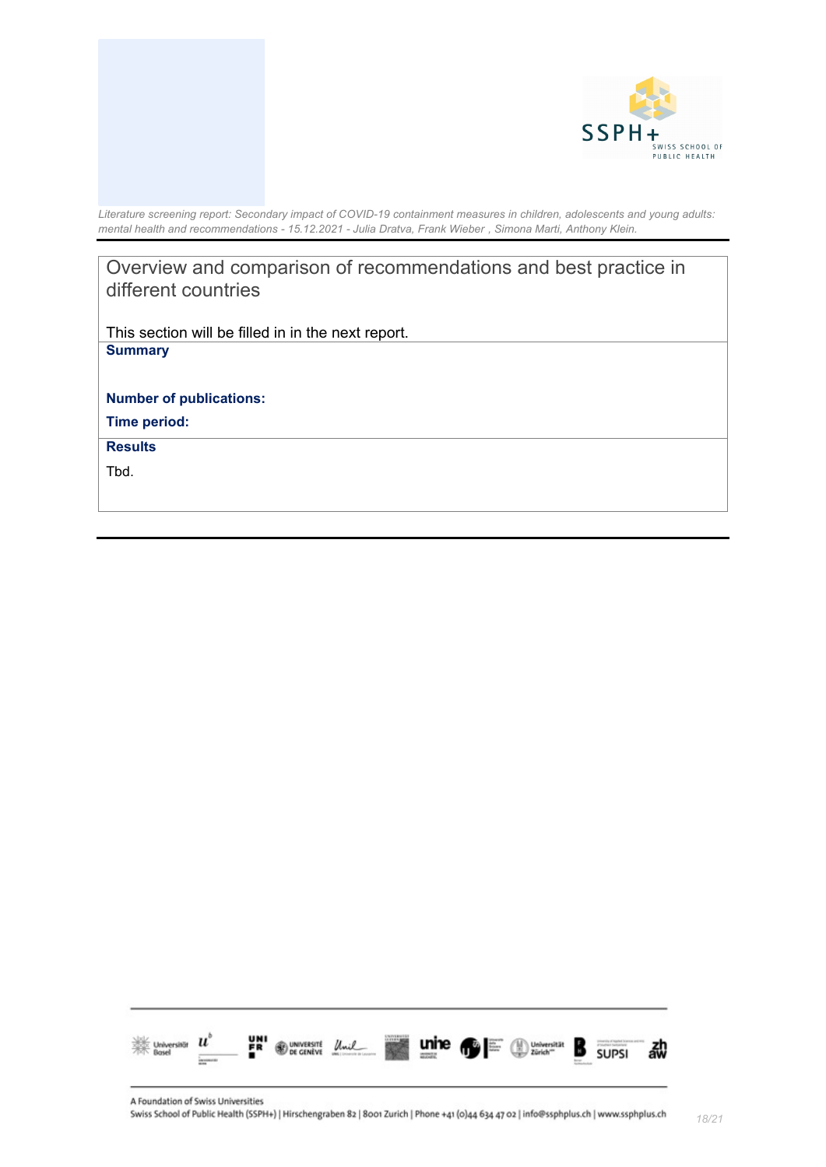



<span id="page-17-0"></span>Overview and comparison of recommendations and best practice in different countries

This section will be filled in in the next report. **Summary**

**Number of publications:** 

**Time period:** 

**Results**

Tbd.

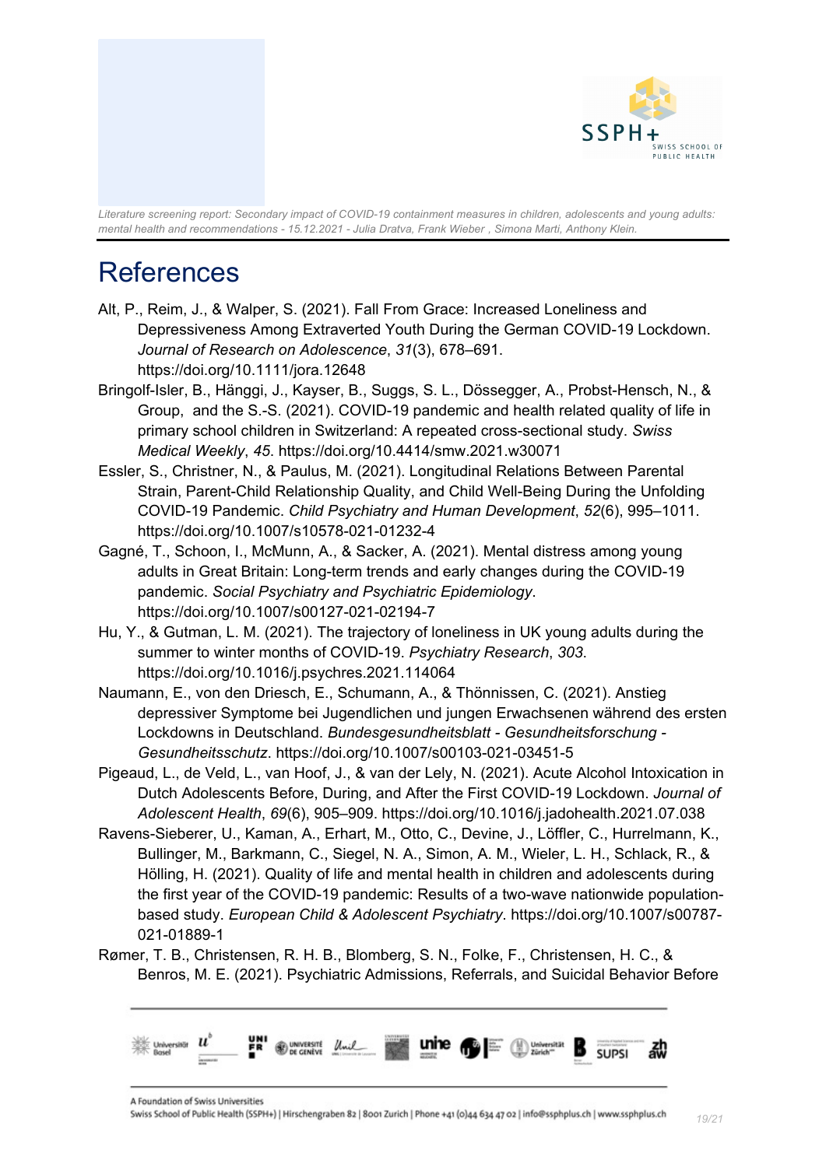

## <span id="page-18-0"></span>References

- Alt, P., Reim, J., & Walper, S. (2021). Fall From Grace: Increased Loneliness and Depressiveness Among Extraverted Youth During the German COVID-19 Lockdown. *Journal of Research on Adolescence*, *31*(3), 678–691. https://doi.org/10.1111/jora.12648
- Bringolf-Isler, B., Hänggi, J., Kayser, B., Suggs, S. L., Dössegger, A., Probst-Hensch, N., & Group, and the S.-S. (2021). COVID-19 pandemic and health related quality of life in primary school children in Switzerland: A repeated cross-sectional study. *Swiss Medical Weekly*, *45*. https://doi.org/10.4414/smw.2021.w30071
- Essler, S., Christner, N., & Paulus, M. (2021). Longitudinal Relations Between Parental Strain, Parent-Child Relationship Quality, and Child Well-Being During the Unfolding COVID-19 Pandemic. *Child Psychiatry and Human Development*, *52*(6), 995–1011. https://doi.org/10.1007/s10578-021-01232-4
- Gagné, T., Schoon, I., McMunn, A., & Sacker, A. (2021). Mental distress among young adults in Great Britain: Long-term trends and early changes during the COVID-19 pandemic. *Social Psychiatry and Psychiatric Epidemiology*. https://doi.org/10.1007/s00127-021-02194-7
- Hu, Y., & Gutman, L. M. (2021). The trajectory of loneliness in UK young adults during the summer to winter months of COVID-19. *Psychiatry Research*, *303*. https://doi.org/10.1016/j.psychres.2021.114064
- Naumann, E., von den Driesch, E., Schumann, A., & Thönnissen, C. (2021). Anstieg depressiver Symptome bei Jugendlichen und jungen Erwachsenen während des ersten Lockdowns in Deutschland. *Bundesgesundheitsblatt - Gesundheitsforschung - Gesundheitsschutz*. https://doi.org/10.1007/s00103-021-03451-5
- Pigeaud, L., de Veld, L., van Hoof, J., & van der Lely, N. (2021). Acute Alcohol Intoxication in Dutch Adolescents Before, During, and After the First COVID-19 Lockdown. *Journal of Adolescent Health*, *69*(6), 905–909. https://doi.org/10.1016/j.jadohealth.2021.07.038
- Ravens-Sieberer, U., Kaman, A., Erhart, M., Otto, C., Devine, J., Löffler, C., Hurrelmann, K., Bullinger, M., Barkmann, C., Siegel, N. A., Simon, A. M., Wieler, L. H., Schlack, R., & Hölling, H. (2021). Quality of life and mental health in children and adolescents during the first year of the COVID-19 pandemic: Results of a two-wave nationwide populationbased study. *European Child & Adolescent Psychiatry*. https://doi.org/10.1007/s00787- 021-01889-1
- Rømer, T. B., Christensen, R. H. B., Blomberg, S. N., Folke, F., Christensen, H. C., & Benros, M. E. (2021). Psychiatric Admissions, Referrals, and Suicidal Behavior Before

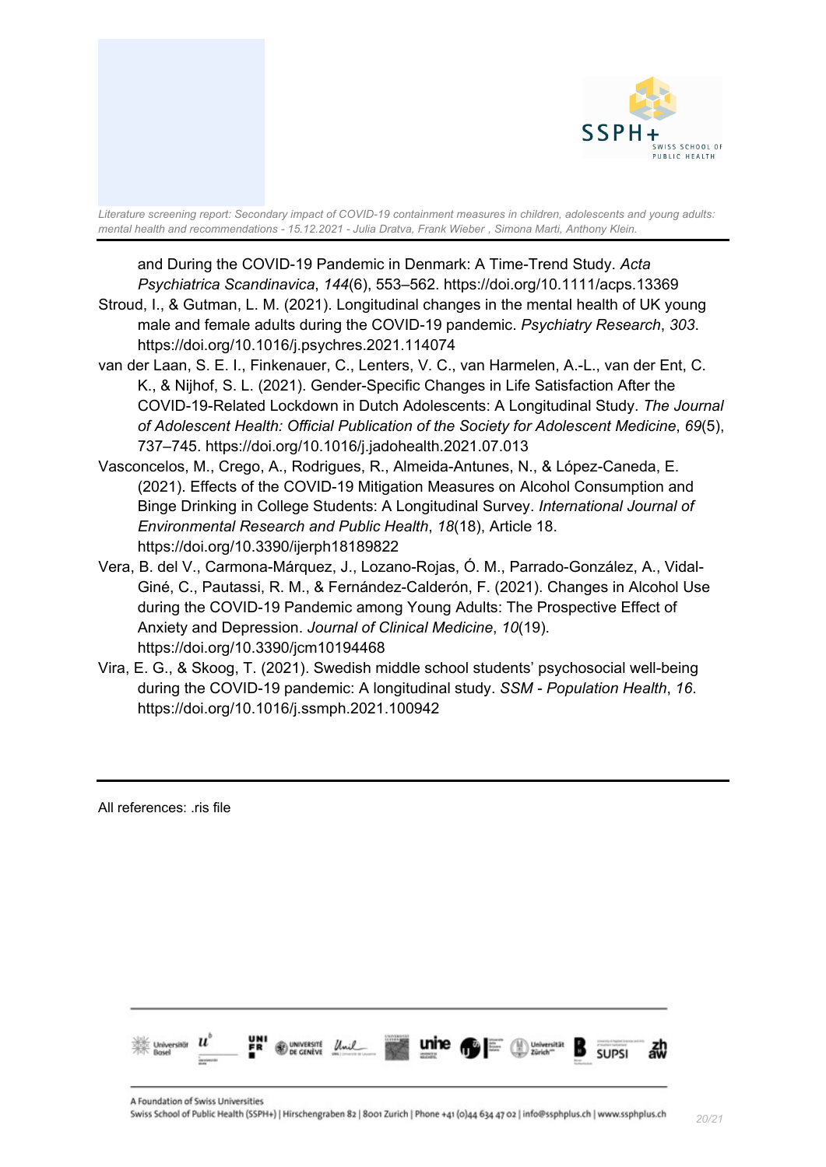

and During the COVID-19 Pandemic in Denmark: A Time-Trend Study. *Acta Psychiatrica Scandinavica*, *144*(6), 553–562. https://doi.org/10.1111/acps.13369

- Stroud, I., & Gutman, L. M. (2021). Longitudinal changes in the mental health of UK young male and female adults during the COVID-19 pandemic. *Psychiatry Research*, *303*. https://doi.org/10.1016/j.psychres.2021.114074
- van der Laan, S. E. I., Finkenauer, C., Lenters, V. C., van Harmelen, A.-L., van der Ent, C. K., & Nijhof, S. L. (2021). Gender-Specific Changes in Life Satisfaction After the COVID-19-Related Lockdown in Dutch Adolescents: A Longitudinal Study. *The Journal of Adolescent Health: Official Publication of the Society for Adolescent Medicine*, *69*(5), 737–745. https://doi.org/10.1016/j.jadohealth.2021.07.013
- Vasconcelos, M., Crego, A., Rodrigues, R., Almeida-Antunes, N., & López-Caneda, E. (2021). Effects of the COVID-19 Mitigation Measures on Alcohol Consumption and Binge Drinking in College Students: A Longitudinal Survey. *International Journal of Environmental Research and Public Health*, *18*(18), Article 18. https://doi.org/10.3390/ijerph18189822
- Vera, B. del V., Carmona-Márquez, J., Lozano-Rojas, Ó. M., Parrado-González, A., Vidal-Giné, C., Pautassi, R. M., & Fernández-Calderón, F. (2021). Changes in Alcohol Use during the COVID-19 Pandemic among Young Adults: The Prospective Effect of Anxiety and Depression. *Journal of Clinical Medicine*, *10*(19). https://doi.org/10.3390/jcm10194468
- Vira, E. G., & Skoog, T. (2021). Swedish middle school students' psychosocial well-being during the COVID-19 pandemic: A longitudinal study. *SSM - Population Health*, *16*. https://doi.org/10.1016/j.ssmph.2021.100942

All references: .ris file